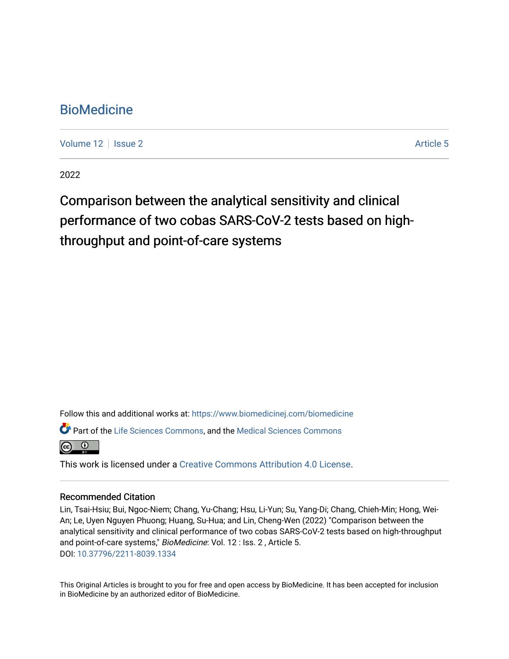# **BioMedicine**

[Volume 12](https://www.biomedicinej.com/biomedicine/vol12) | [Issue 2](https://www.biomedicinej.com/biomedicine/vol12/iss2) Article 5

2022

# Comparison between the analytical sensitivity and clinical performance of two cobas SARS-CoV-2 tests based on highthroughput and point-of-care systems

Follow this and additional works at: [https://www.biomedicinej.com/biomedicine](https://www.biomedicinej.com/biomedicine?utm_source=www.biomedicinej.com%2Fbiomedicine%2Fvol12%2Fiss2%2F5&utm_medium=PDF&utm_campaign=PDFCoverPages)

Part of the [Life Sciences Commons,](https://network.bepress.com/hgg/discipline/1016?utm_source=www.biomedicinej.com%2Fbiomedicine%2Fvol12%2Fiss2%2F5&utm_medium=PDF&utm_campaign=PDFCoverPages) and the [Medical Sciences Commons](https://network.bepress.com/hgg/discipline/664?utm_source=www.biomedicinej.com%2Fbiomedicine%2Fvol12%2Fiss2%2F5&utm_medium=PDF&utm_campaign=PDFCoverPages)



This work is licensed under a [Creative Commons Attribution 4.0 License](https://creativecommons.org/licenses/by/4.0/).

# Recommended Citation

Lin, Tsai-Hsiu; Bui, Ngoc-Niem; Chang, Yu-Chang; Hsu, Li-Yun; Su, Yang-Di; Chang, Chieh-Min; Hong, Wei-An; Le, Uyen Nguyen Phuong; Huang, Su-Hua; and Lin, Cheng-Wen (2022) "Comparison between the analytical sensitivity and clinical performance of two cobas SARS-CoV-2 tests based on high-throughput and point-of-care systems," BioMedicine: Vol. 12 : Iss. 2, Article 5. DOI: [10.37796/2211-8039.1334](https://doi.org/10.37796/2211-8039.1334) 

This Original Articles is brought to you for free and open access by BioMedicine. It has been accepted for inclusion in BioMedicine by an authorized editor of BioMedicine.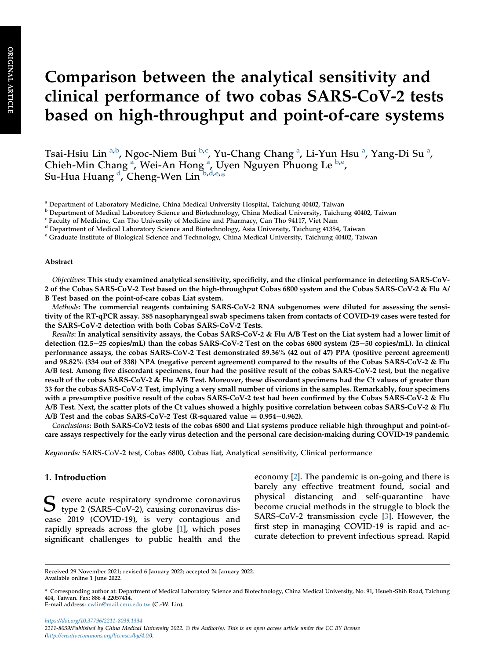# Comparison between the analytical sensitivity and clinical performance of two cobas SARS-CoV-2 tests based on high-throughput and point-of-care systems

Ts[a](#page-1-0)i-Hsiu Lin <sup>a[,b](#page-1-1)</sup>, Ngoc-Niem Bui <sup>[b](#page-1-1),[c](#page-1-2)</sup>, Yu-Chang Chang <sup>a</sup>, Li-Yun Hsu <sup>a</sup>, Yang-Di Su <sup>a</sup>, Chieh-Min Ch[a](#page-1-0)ng<sup>a</sup>, Wei-An Hong<sup>a</sup>, Uyen Nguyen Phuong Le <sup>[b](#page-1-1)[,e](#page-1-3)</sup>, Su-Hua Huang <sup>[d](#page-1-4)</sup>, Cheng-Wen Lin <sup>[b](#page-1-1)[,d,](#page-1-4)[e](#page-1-3),</sup>\*

<span id="page-1-3"></span><sup>e</sup> Graduate Institute of Biological Science and Technology, China Medical University, Taichung 40402, Taiwan

#### Abstract

Objectives: This study examined analytical sensitivity, specificity, and the clinical performance in detecting SARS-CoV-2 of the Cobas SARS-CoV-2 Test based on the high-throughput Cobas 6800 system and the Cobas SARS-CoV-2 & Flu A/ B Test based on the point-of-care cobas Liat system.

Methods: The commercial reagents containing SARS-CoV-2 RNA subgenomes were diluted for assessing the sensitivity of the RT-qPCR assay. 385 nasopharyngeal swab specimens taken from contacts of COVID-19 cases were tested for the SARS-CoV-2 detection with both Cobas SARS-CoV-2 Tests.

Results: In analytical sensitivity assays, the Cobas SARS-CoV-2 & Flu A/B Test on the Liat system had a lower limit of detection (12.5–25 copies/mL) than the cobas SARS-CoV-2 Test on the cobas 6800 system (25–50 copies/mL). In clinical performance assays, the cobas SARS-CoV-2 Test demonstrated 89.36% (42 out of 47) PPA (positive percent agreement) and 98.82% (334 out of 338) NPA (negative percent agreement) compared to the results of the Cobas SARS-CoV-2 & Flu A/B test. Among five discordant specimens, four had the positive result of the cobas SARS-CoV-2 test, but the negative result of the cobas SARS-CoV-2 & Flu A/B Test. Moreover, these discordant specimens had the Ct values of greater than 33 for the cobas SARS-CoV-2 Test, implying a very small number of virions in the samples. Remarkably, four specimens with a presumptive positive result of the cobas SARS-CoV-2 test had been confirmed by the Cobas SARS-CoV-2 & Flu A/B Test. Next, the scatter plots of the Ct values showed a highly positive correlation between cobas SARS-CoV-2 & Flu A/B Test and the cobas SARS-CoV-2 Test (R-squared value  $= 0.954 - 0.962$ ).

Conclusions: Both SARS-CoV2 tests of the cobas 6800 and Liat systems produce reliable high throughput and point-ofcare assays respectively for the early virus detection and the personal care decision-making during COVID-19 pandemic.

Keywords: SARS-CoV-2 test, Cobas 6800, Cobas liat, Analytical sensitivity, Clinical performance

#### 1. Introduction

S evere acute respiratory syndrome coronavirus<br>
type 2 (SARS-CoV-2), causing coronavirus disease 2019 (COVID-19), is very contagious and rapidly spreads across the globe [[1\]](#page-7-0), which poses significant challenges to public health and the economy [\[2](#page-7-1)]. The pandemic is on-going and there is barely any effective treatment found, social and physical distancing and self-quarantine have become crucial methods in the struggle to block the SARS-CoV-2 transmission cycle [[3\]](#page-7-2). However, the first step in managing COVID-19 is rapid and accurate detection to prevent infectious spread. Rapid

<https://doi.org/10.37796/2211-8039.1334> 2211-8039/Published by China Medical University 2022. © the Author(s). This is an open access article under the CC BY license [\(http://creativecommons.org/licenses/by/4.0/](http://creativecommons.org/licenses/by/4.0/)).

<span id="page-1-0"></span><sup>a</sup> Department of Laboratory Medicine, China Medical University Hospital, Taichung 40402, Taiwan

<span id="page-1-1"></span><sup>b</sup> Department of Medical Laboratory Science and Biotechnology, China Medical University, Taichung 40402, Taiwan

<span id="page-1-2"></span><sup>&</sup>lt;sup>c</sup> Faculty of Medicine, Can Tho University of Medicine and Pharmacy, Can Tho 94117, Viet Nam

<span id="page-1-4"></span><sup>d</sup> Department of Medical Laboratory Science and Biotechnology, Asia University, Taichung 41354, Taiwan

Received 29 November 2021; revised 6 January 2022; accepted 24 January 2022. Available online 1 June 2022.

<sup>\*</sup> Corresponding author at: Department of Medical Laboratory Science and Biotechnology, China Medical University, No. 91, Hsueh-Shih Road, Taichung 404, Taiwan. Fax: 886 4 22057414. E-mail address: [cwlin@mail.cmu.edu.tw](mailto:cwlin@mail.cmu.edu.tw) (C.-W. Lin).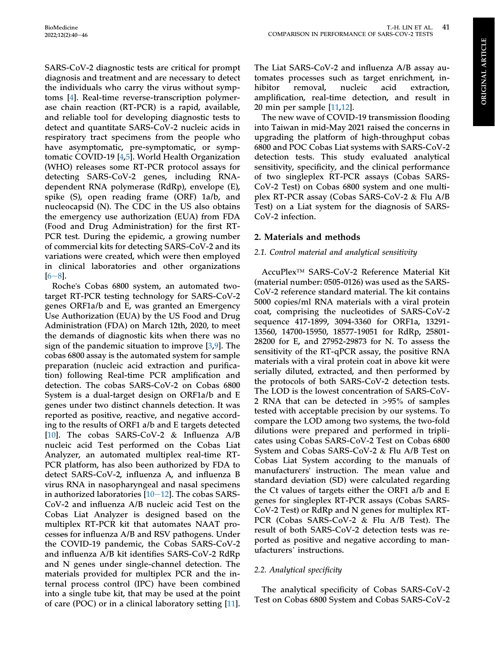**ORIGINAL ARTICLE** ORIGINAL ARTICLE

SARS-CoV-2 diagnostic tests are critical for prompt diagnosis and treatment and are necessary to detect the individuals who carry the virus without symptoms [[4\]](#page-7-3). Real-time reverse-transcription polymerase chain reaction (RT-PCR) is a rapid, available, and reliable tool for developing diagnostic tests to detect and quantitate SARS-CoV-2 nucleic acids in respiratory tract specimens from the people who have asymptomatic, pre-symptomatic, or symptomatic COVID-19 [[4](#page-7-3)[,5](#page-7-4)]. World Health Organization (WHO) releases some RT-PCR protocol assays for detecting SARS-CoV-2 genes, including RNAdependent RNA polymerase (RdRp), envelope (E), spike (S), open reading frame (ORF) 1a/b, and nucleocapsid (N). The CDC in the US also obtains the emergency use authorization (EUA) from FDA (Food and Drug Administration) for the first RT-PCR test. During the epidemic, a growing number of commercial kits for detecting SARS-CoV-2 and its variations were created, which were then employed in clinical laboratories and other organizations  $[6-8]$  $[6-8]$  $[6-8]$ .

Roche's Cobas 6800 system, an automated twotarget RT-PCR testing technology for SARS-CoV-2 genes ORF1a/b and E, was granted an Emergency Use Authorization (EUA) by the US Food and Drug Administration (FDA) on March 12th, 2020, to meet the demands of diagnostic kits when there was no sign of the pandemic situation to improve [[3,](#page-7-2)[9](#page-7-6)]. The cobas 6800 assay is the automated system for sample preparation (nucleic acid extraction and purification) following Real-time PCR amplification and detection. The cobas SARS-CoV-2 on Cobas 6800 System is a dual-target design on ORF1a/b and E genes under two distinct channels detection. It was reported as positive, reactive, and negative according to the results of ORF1 a/b and E targets detected [\[10](#page-7-7)]. The cobas SARS-CoV-2 & Influenza A/B nucleic acid Test performed on the Cobas Liat Analyzer, an automated multiplex real-time RT-PCR platform, has also been authorized by FDA to detect SARS-CoV-2, influenza A, and influenza B virus RNA in nasopharyngeal and nasal specimens in authorized laboratories  $[10-12]$  $[10-12]$  $[10-12]$  $[10-12]$  $[10-12]$ . The cobas SARS-CoV-2 and influenza A/B nucleic acid Test on the Cobas Liat Analyzer is designed based on the multiplex RT-PCR kit that automates NAAT processes for influenza A/B and RSV pathogens. Under the COVID-19 pandemic, the Cobas SARS-CoV-2 and influenza A/B kit identifies SARS-CoV-2 RdRp and N genes under single-channel detection. The materials provided for multiplex PCR and the internal process control (IPC) have been combined into a single tube kit, that may be used at the point of care (POC) or in a clinical laboratory setting [\[11](#page-7-8)].

The Liat SARS-CoV-2 and influenza A/B assay automates processes such as target enrichment, inhibitor removal, nucleic acid extraction, amplification, real-time detection, and result in 20 min per sample [\[11](#page-7-8),[12\]](#page-7-9).

The new wave of COVID-19 transmission flooding into Taiwan in mid-May 2021 raised the concerns in upgrading the platform of high-throughput cobas 6800 and POC Cobas Liat systems with SARS-CoV-2 detection tests. This study evaluated analytical sensitivity, specificity, and the clinical performance of two singleplex RT-PCR assays (Cobas SARS-CoV-2 Test) on Cobas 6800 system and one multiplex RT-PCR assay (Cobas SARS-CoV-2 & Flu A/B Test) on a Liat system for the diagnosis of SARS-CoV-2 infection.

# 2. Materials and methods

# 2.1. Control material and analytical sensitivity

AccuPlex™ SARS-CoV-2 Reference Material Kit (material number: 0505-0126) was used as the SARS-CoV-2 reference standard material. The kit contains 5000 copies/ml RNA materials with a viral protein coat, comprising the nucleotides of SARS-CoV-2 sequence 417-1899, 3094-3360 for ORF1a, 13291- 13560, 14700-15950, 18577-19051 for RdRp, 25801- 28200 for E, and 27952-29873 for N. To assess the sensitivity of the RT-qPCR assay, the positive RNA materials with a viral protein coat in above kit were serially diluted, extracted, and then performed by the protocols of both SARS-CoV-2 detection tests. The LOD is the lowest concentration of SARS-CoV-2 RNA that can be detected in >95% of samples tested with acceptable precision by our systems. To compare the LOD among two systems, the two-fold dilutions were prepared and performed in triplicates using Cobas SARS-CoV-2 Test on Cobas 6800 System and Cobas SARS-CoV-2 & Flu A/B Test on Cobas Liat System according to the manuals of manufacturers' instruction. The mean value and standard deviation (SD) were calculated regarding the Ct values of targets either the ORF1 a/b and E genes for singleplex RT-PCR assays (Cobas SARS-CoV-2 Test) or RdRp and N genes for multiplex RT-PCR (Cobas SARS-CoV-2 & Flu A/B Test). The result of both SARS-CoV-2 detection tests was reported as positive and negative according to manufacturers' instructions.

# 2.2. Analytical specificity

The analytical specificity of Cobas SARS-CoV-2 Test on Cobas 6800 System and Cobas SARS-CoV-2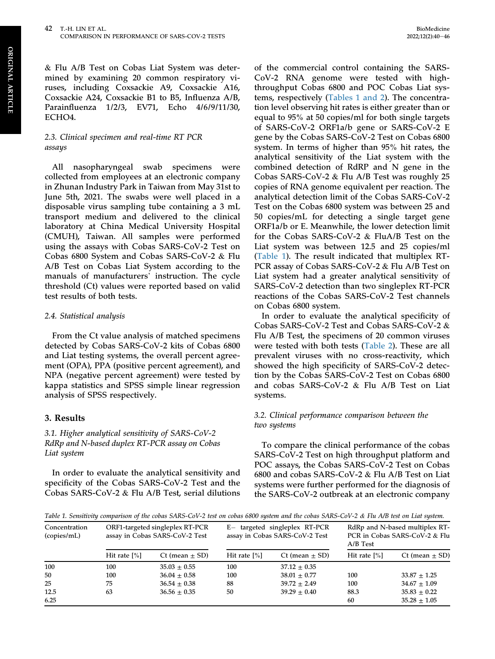& Flu A/B Test on Cobas Liat System was determined by examining 20 common respiratory viruses, including Coxsackie A9, Coxsackie A16, Coxsackie A24, Coxsackie B1 to B5, Influenza A/B, Parainfluenza 1/2/3, EV71, Echo 4/6/9/11/30, ECHO4.

# 2.3. Clinical specimen and real-time RT PCR assays

All nasopharyngeal swab specimens were collected from employees at an electronic company in Zhunan Industry Park in Taiwan from May 31st to June 5th, 2021. The swabs were well placed in a disposable virus sampling tube containing a 3 mL transport medium and delivered to the clinical laboratory at China Medical University Hospital (CMUH), Taiwan. All samples were performed using the assays with Cobas SARS-CoV-2 Test on Cobas 6800 System and Cobas SARS-CoV-2 & Flu A/B Test on Cobas Liat System according to the manuals of manufacturers' instruction. The cycle threshold (Ct) values were reported based on valid test results of both tests.

#### 2.4. Statistical analysis

From the Ct value analysis of matched specimens detected by Cobas SARS-CoV-2 kits of Cobas 6800 and Liat testing systems, the overall percent agreement (OPA), PPA (positive percent agreement), and NPA (negative percent agreement) were tested by kappa statistics and SPSS simple linear regression analysis of SPSS respectively.

# 3. Results

# 3.1. Higher analytical sensitivity of SARS-CoV-2 RdRp and N-based duplex RT-PCR assay on Cobas Liat system

In order to evaluate the analytical sensitivity and specificity of the Cobas SARS-CoV-2 Test and the Cobas SARS-CoV-2 & Flu A/B Test, serial dilutions of the commercial control containing the SARS-CoV-2 RNA genome were tested with highthroughput Cobas 6800 and POC Cobas Liat systems, respectively [\(Tables 1 and 2\)](#page-3-0). The concentration level observing hit rates is either greater than or equal to 95% at 50 copies/ml for both single targets of SARS-CoV-2 ORF1a/b gene or SARS-CoV-2 E gene by the Cobas SARS-CoV-2 Test on Cobas 6800 system. In terms of higher than 95% hit rates, the analytical sensitivity of the Liat system with the combined detection of RdRP and N gene in the Cobas SARS-CoV-2 & Flu A/B Test was roughly 25 copies of RNA genome equivalent per reaction. The analytical detection limit of the Cobas SARS-CoV-2 Test on the Cobas 6800 system was between 25 and 50 copies/mL for detecting a single target gene ORF1a/b or E. Meanwhile, the lower detection limit for the Cobas SARS-CoV-2 & FluA/B Test on the Liat system was between 12.5 and 25 copies/ml [\(Table 1](#page-3-0)). The result indicated that multiplex RT-PCR assay of Cobas SARS-CoV-2 & Flu A/B Test on Liat system had a greater analytical sensitivity of SARS-CoV-2 detection than two singleplex RT-PCR reactions of the Cobas SARS-CoV-2 Test channels on Cobas 6800 system.

In order to evaluate the analytical specificity of Cobas SARS-CoV-2 Test and Cobas SARS-CoV-2 & Flu A/B Test, the specimens of 20 common viruses were tested with both tests [\(Table 2](#page-4-0)). These are all prevalent viruses with no cross-reactivity, which showed the high specificity of SARS-CoV-2 detection by the Cobas SARS-CoV-2 Test on Cobas 6800 and cobas SARS-CoV-2 & Flu A/B Test on Liat systems.

# 3.2. Clinical performance comparison between the two systems

To compare the clinical performance of the cobas SARS-CoV-2 Test on high throughput platform and POC assays, the Cobas SARS-CoV-2 Test on Cobas 6800 and cobas SARS-CoV-2 & Flu A/B Test on Liat systems were further performed for the diagnosis of the SARS-CoV-2 outbreak at an electronic company

<span id="page-3-0"></span>Table 1. Sensitivity comparison of the cobas SARS-CoV-2 test on cobas 6800 system and the cobas SARS-CoV-2 & Flu A/B test on Liat system.

| Concentration<br>(copies/mL) | ORF1-targeted singleplex RT-PCR<br>assay in Cobas SARS-CoV-2 Test |                      | $E-$ targeted singleplex RT-PCR<br>assay in Cobas SARS-CoV-2 Test |                      | RdRp and N-based multiplex RT-<br>PCR in Cobas SARS-CoV-2 & Flu<br>A/B Test |                      |
|------------------------------|-------------------------------------------------------------------|----------------------|-------------------------------------------------------------------|----------------------|-----------------------------------------------------------------------------|----------------------|
|                              | Hit rate $[\%]$                                                   | $Ct$ (mean $\pm$ SD) | Hit rate $\lceil\% \rceil$                                        | $Ct$ (mean $\pm$ SD) | Hit rate $[\%]$                                                             | $Ct$ (mean $\pm$ SD) |
| 100                          | 100                                                               | $35.03 \pm 0.55$     | 100                                                               | $37.12 \pm 0.35$     |                                                                             |                      |
| 50                           | 100                                                               | $36.04 \pm 0.58$     | 100                                                               | $38.01 \pm 0.77$     | 100                                                                         | $33.87 \pm 1.25$     |
| 25                           | 75                                                                | $36.54 \pm 0.38$     | 88                                                                | $39.72 \pm 2.49$     | 100                                                                         | $34.67 \pm 1.09$     |
| 12.5                         | 63                                                                | $36.56 \pm 0.35$     | 50                                                                | $39.29 + 0.40$       | 88.3                                                                        | $35.83 \pm 0.22$     |
| 6.25                         |                                                                   |                      |                                                                   |                      | 60                                                                          | $35.28 \pm 1.05$     |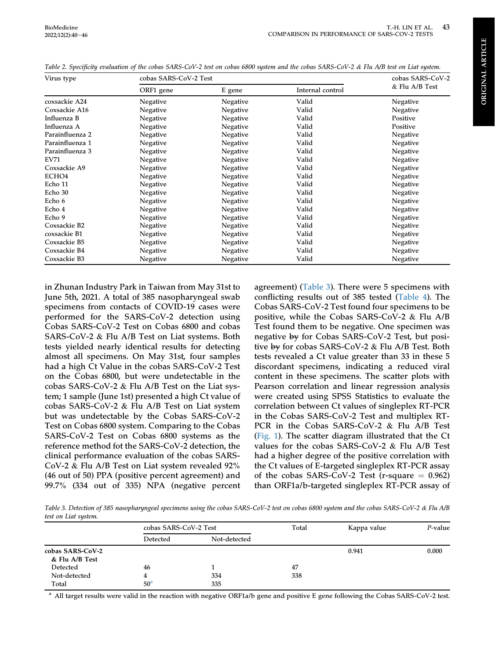| Virus type        | cobas SARS-CoV-2 Test | cobas SARS-CoV-2 |                  |                 |  |
|-------------------|-----------------------|------------------|------------------|-----------------|--|
|                   | ORF1 gene             | E gene           | Internal control | & Flu A/B Test  |  |
| coxsackie A24     | Negative              | Negative         | Valid            | <b>Negative</b> |  |
| Coxsackie A16     | Negative              | Negative         | Valid            | Negative        |  |
| Influenza B       | Negative              | Negative         | Valid            | Positive        |  |
| Influenza A       | Negative              | Negative         | Valid            | Positive        |  |
| Parainfluenza 2   | Negative              | Negative         | Valid            | Negative        |  |
| Parainfluenza 1   | Negative              | Negative         | Valid            | Negative        |  |
| Parainfluenza 3   | Negative              | Negative         | Valid            | Negative        |  |
| EV71              | Negative              | Negative         | Valid            | Negative        |  |
| Coxsackie A9      | Negative              | Negative         | Valid            | Negative        |  |
| ECHO <sub>4</sub> | Negative              | Negative         | Valid            | Negative        |  |
| Echo 11           | Negative              | Negative         | Valid            | Negative        |  |
| Echo 30           | Negative              | Negative         | Valid            | Negative        |  |
| Echo 6            | Negative              | Negative         | Valid            | Negative        |  |
| Echo 4            | Negative              | Negative         | Valid            | Negative        |  |
| Echo 9            | Negative              | Negative         | Valid            | Negative        |  |
| Coxsackie B2      | Negative              | Negative         | Valid            | Negative        |  |
| coxsackie B1      | Negative              | Negative         | Valid            | Negative        |  |
| Coxsackie B5      | Negative              | Negative         | Valid            | Negative        |  |
| Coxsackie B4      | Negative              | Negative         | Valid            | Negative        |  |
| Coxsackie B3      | Negative              | Negative         | Valid            | Negative        |  |

<span id="page-4-0"></span>Table 2. Specificity evaluation of the cobas SARS-CoV-2 test on cobas 6800 system and the cobas SARS-CoV-2 & Flu A/B test on Liat system.

in Zhunan Industry Park in Taiwan from May 31st to June 5th, 2021. A total of 385 nasopharyngeal swab specimens from contacts of COVID-19 cases were performed for the SARS-CoV-2 detection using Cobas SARS-CoV-2 Test on Cobas 6800 and cobas SARS-CoV-2 & Flu A/B Test on Liat systems. Both tests yielded nearly identical results for detecting almost all specimens. On May 31st, four samples had a high Ct Value in the cobas SARS-CoV-2 Test on the Cobas 6800, but were undetectable in the cobas SARS-CoV-2 & Flu A/B Test on the Liat system; 1 sample (June 1st) presented a high Ct value of cobas SARS-CoV-2 & Flu A/B Test on Liat system but was undetectable by the Cobas SARS-CoV-2 Test on Cobas 6800 system. Comparing to the Cobas SARS-CoV-2 Test on Cobas 6800 systems as the reference method fot the SARS-CoV-2 detection, the clinical performance evaluation of the cobas SARS-CoV-2 & Flu A/B Test on Liat system revealed 92% (46 out of 50) PPA (positive percent agreement) and 99.7% (334 out of 335) NPA (negative percent

agreement) [\(Table 3\)](#page-4-1). There were 5 specimens with conflicting results out of 385 tested [\(Table 4\)](#page-5-0). The Cobas SARS-CoV-2 Test found four specimens to be positive, while the Cobas SARS-CoV-2 & Flu A/B Test found them to be negative. One specimen was negative by for Cobas SARS-CoV-2 Test, but positive by for cobas SARS-CoV-2 & Flu A/B Test. Both tests revealed a Ct value greater than 33 in these 5 discordant specimens, indicating a reduced viral content in these specimens. The scatter plots with Pearson correlation and linear regression analysis were created using SPSS Statistics to evaluate the correlation between Ct values of singleplex RT-PCR in the Cobas SARS-CoV-2 Test and multiplex RT-PCR in the Cobas SARS-CoV-2 & Flu A/B Test [\(Fig. 1\)](#page-6-0). The scatter diagram illustrated that the Ct values for the cobas SARS-CoV-2 & Flu A/B Test had a higher degree of the positive correlation with the Ct values of E-targeted singleplex RT-PCR assay of the cobas SARS-CoV-2 Test (r-square  $= 0.962$ ) than ORF1a/b-targeted singleplex RT-PCR assay of

<span id="page-4-1"></span>Table 3. Detection of 385 nasopharyngeal specimens using the cobas SARS-CoV-2 test on cobas 6800 system and the cobas SARS-CoV-2 & Flu A/B test on Liat system.

|                  | cobas SARS-CoV-2 Test |              | Total | Kappa value | $P$ -value |
|------------------|-----------------------|--------------|-------|-------------|------------|
|                  | Detected              | Not-detected |       |             |            |
| cobas SARS-CoV-2 |                       |              |       | 0.941       | 0.000      |
| & Flu A/B Test   |                       |              |       |             |            |
| Detected         | 46                    |              | 47    |             |            |
| Not-detected     | 4                     | 334          | 338   |             |            |
| Total            | 50 <sup>a</sup>       | 335          |       |             |            |

<span id="page-4-2"></span> $^{\rm a}$  All target results were valid in the reaction with negative ORF1a/b gene and positive E gene following the Cobas SARS-CoV-2 test.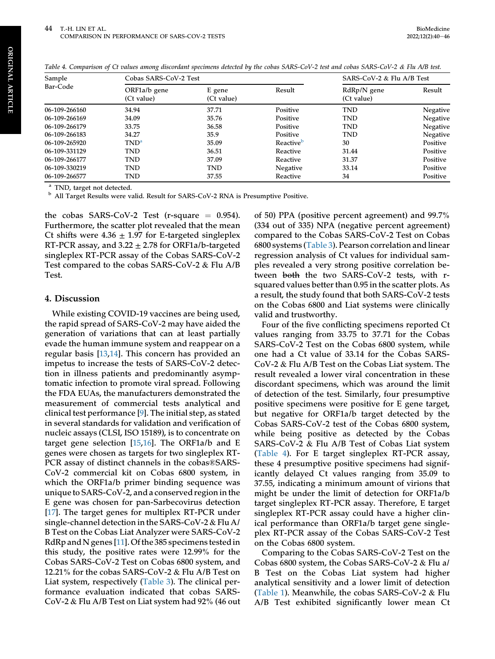| Sample        | Cobas SARS-CoV-2 Test      |                      |                       | SARS-CoV-2 & Flu A/B Test   |          |
|---------------|----------------------------|----------------------|-----------------------|-----------------------------|----------|
| Bar-Code      | ORF1a/b gene<br>(Ct value) | E gene<br>(Ct value) | Result                | $RdRp/N$ gene<br>(Ct value) | Result   |
| 06-109-266160 | 34.94                      | 37.71                | Positive              | <b>TND</b>                  | Negative |
| 06-109-266169 | 34.09                      | 35.76                | Positive              | <b>TND</b>                  | Negative |
| 06-109-266179 | 33.75                      | 36.58                | Positive              | <b>TND</b>                  | Negative |
| 06-109-266183 | 34.27                      | 35.9                 | Positive              | <b>TND</b>                  | Negative |
| 06-109-265920 | TND <sup>a</sup>           | 35.09                | Reactive <sup>b</sup> | 30                          | Positive |
| 06-109-331129 | <b>TND</b>                 | 36.51                | Reactive              | 31.44                       | Positive |
| 06-109-266177 | <b>TND</b>                 | 37.09                | Reactive              | 31.37                       | Positive |
| 06-109-330219 | <b>TND</b>                 | <b>TND</b>           | <b>Negative</b>       | 33.14                       | Positive |
| 06-109-266577 | <b>TND</b>                 | 37.55                | Reactive              | 34                          | Positive |

<span id="page-5-0"></span>Table 4. Comparison of Ct values among discordant specimens detected by the cobas SARS-CoV-2 test and cobas SARS-CoV-2 & Flu A/B test.

<span id="page-5-2"></span>

<span id="page-5-1"></span> $^{\rm a}$  TND, target not detected. b All Target Results were valid. Result for SARS-CoV-2 RNA is Presumptive Positive.

the cobas SARS-CoV-2 Test (r-square  $= 0.954$ ). Furthermore, the scatter plot revealed that the mean Ct shifts were  $4.36 \pm 1.97$  for E-targeted singleplex RT-PCR assay, and  $3.22 \pm 2.78$  for ORF1a/b-targeted singleplex RT-PCR assay of the Cobas SARS-CoV-2 Test compared to the cobas SARS-CoV-2 & Flu A/B Test.

#### 4. Discussion

While existing COVID-19 vaccines are being used, the rapid spread of SARS-CoV-2 may have aided the generation of variations that can at least partially evade the human immune system and reappear on a regular basis [[13,](#page-7-10)[14](#page-7-11)]. This concern has provided an impetus to increase the tests of SARS-CoV-2 detection in illness patients and predominantly asymptomatic infection to promote viral spread. Following the FDA EUAs, the manufacturers demonstrated the measurement of commercial tests analytical and clinical test performance [\[9](#page-7-6)]. The initial step, as stated in several standards for validation and verification of nucleic assays (CLSI, ISO 15189), is to concentrate on target gene selection [[15](#page-7-12)[,16](#page-7-13)]. The ORF1a/b and E genes were chosen as targets for two singleplex RT-PCR assay of distinct channels in the cobas®SARS-CoV-2 commercial kit on Cobas 6800 system, in which the ORF1a/b primer binding sequence was unique to SARS-CoV-2, and a conserved region in the E gene was chosen for pan-Sarbecovirus detection [\[17](#page-7-14)]. The target genes for multiplex RT-PCR under single-channel detection in the SARS-CoV-2 & Flu A/ B Test on the Cobas Liat Analyzer were SARS-CoV-2 RdRp and N genes [\[11](#page-7-8)]. Of the 385 specimens tested in this study, the positive rates were 12.99% for the Cobas SARS-CoV-2 Test on Cobas 6800 system, and 12.21% for the cobas SARS-CoV-2 & Flu A/B Test on Liat system, respectively ([Table 3](#page-4-1)). The clinical performance evaluation indicated that cobas SARS-CoV-2 & Flu A/B Test on Liat system had 92% (46 out of 50) PPA (positive percent agreement) and 99.7% (334 out of 335) NPA (negative percent agreement) compared to the Cobas SARS-CoV-2 Test on Cobas 6800 systems ([Table 3](#page-4-1)). Pearson correlation and linear regression analysis of Ct values for individual samples revealed a very strong positive correlation between both the two SARS-CoV-2 tests, with rsquared values better than 0.95 in the scatter plots. As a result, the study found that both SARS-CoV-2 tests on the Cobas 6800 and Liat systems were clinically valid and trustworthy.

Four of the five conflicting specimens reported Ct values ranging from 33.75 to 37.71 for the Cobas SARS-CoV-2 Test on the Cobas 6800 system, while one had a Ct value of 33.14 for the Cobas SARS-CoV-2 & Flu A/B Test on the Cobas Liat system. The result revealed a lower viral concentration in these discordant specimens, which was around the limit of detection of the test. Similarly, four presumptive positive specimens were positive for E gene target, but negative for ORF1a/b target detected by the Cobas SARS-CoV-2 test of the Cobas 6800 system, while being positive as detected by the Cobas SARS-CoV-2 & Flu A/B Test of Cobas Liat system [\(Table 4](#page-5-0)). For E target singleplex RT-PCR assay, these 4 presumptive positive specimens had significantly delayed Ct values ranging from 35.09 to 37.55, indicating a minimum amount of virions that might be under the limit of detection for ORF1a/b target singleplex RT-PCR assay. Therefore, E target singleplex RT-PCR assay could have a higher clinical performance than ORF1a/b target gene singleplex RT-PCR assay of the Cobas SARS-CoV-2 Test on the Cobas 6800 system.

Comparing to the Cobas SARS-CoV-2 Test on the Cobas 6800 system, the Cobas SARS-CoV-2 & Flu a/ B Test on the Cobas Liat system had higher analytical sensitivity and a lower limit of detection [\(Table 1\)](#page-3-0). Meanwhile, the cobas SARS-CoV-2 & Flu A/B Test exhibited significantly lower mean Ct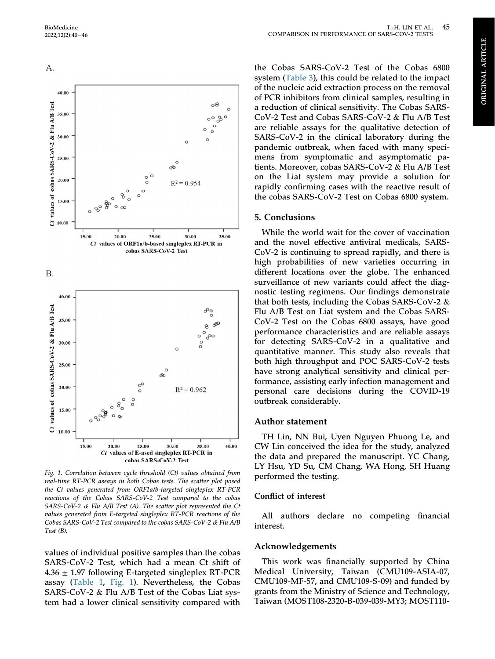<span id="page-6-0"></span>

Fig. 1. Correlation between cycle threshold (Ct) values obtained from real-time RT-PCR assays in both Cobas tests. The scatter plot posed the Ct values generated from ORF1a/b-targeted singleplex RT-PCR reactions of the Cobas SARS-CoV-2 Test compared to the cobas SARS-CoV-2 & Flu A/B Test (A). The scatter plot represented the Ct values generated from E-targeted singleplex RT-PCR reactions of the Cobas SARS-CoV-2 Test compared to the cobas SARS-CoV-2 & Flu A/B Test (B).

values of individual positive samples than the cobas SARS-CoV-2 Test, which had a mean Ct shift of  $4.36 \pm 1.97$  following E-targeted singleplex RT-PCR assay ([Table 1](#page-3-0), [Fig. 1\)](#page-6-0). Nevertheless, the Cobas SARS-CoV-2 & Flu A/B Test of the Cobas Liat system had a lower clinical sensitivity compared with

the Cobas SARS-CoV-2 Test of the Cobas 6800 system ([Table 3\)](#page-4-1), this could be related to the impact of the nucleic acid extraction process on the removal

COMPARISON IN PERFORMANCE OF SARS-COV-2 TESTS

T.-H. LIN ET AL.

45

of PCR inhibitors from clinical samples, resulting in a reduction of clinical sensitivity. The Cobas SARS-CoV-2 Test and Cobas SARS-CoV-2 & Flu A/B Test are reliable assays for the qualitative detection of SARS-CoV-2 in the clinical laboratory during the pandemic outbreak, when faced with many specimens from symptomatic and asymptomatic patients. Moreover, cobas SARS-CoV-2 & Flu A/B Test on the Liat system may provide a solution for rapidly confirming cases with the reactive result of the cobas SARS-CoV-2 Test on Cobas 6800 system.

#### 5. Conclusions

While the world wait for the cover of vaccination and the novel effective antiviral medicals, SARS-CoV-2 is continuing to spread rapidly, and there is high probabilities of new varieties occurring in different locations over the globe. The enhanced surveillance of new variants could affect the diagnostic testing regimens. Our findings demonstrate that both tests, including the Cobas SARS-CoV-2 & Flu A/B Test on Liat system and the Cobas SARS-CoV-2 Test on the Cobas 6800 assays, have good performance characteristics and are reliable assays for detecting SARS-CoV-2 in a qualitative and quantitative manner. This study also reveals that both high throughput and POC SARS-CoV-2 tests have strong analytical sensitivity and clinical performance, assisting early infection management and personal care decisions during the COVID-19 outbreak considerably.

#### Author statement

TH Lin, NN Bui, Uyen Nguyen Phuong Le, and CW Lin conceived the idea for the study, analyzed the data and prepared the manuscript. YC Chang, LY Hsu, YD Su, CM Chang, WA Hong, SH Huang performed the testing.

#### Conflict of interest

All authors declare no competing financial interest.

#### Acknowledgements

This work was financially supported by China Medical University, Taiwan (CMU109-ASIA-07, CMU109-MF-57, and CMU109-S-09) and funded by grants from the Ministry of Science and Technology, Taiwan (MOST108-2320-B-039-039-MY3; MOST110